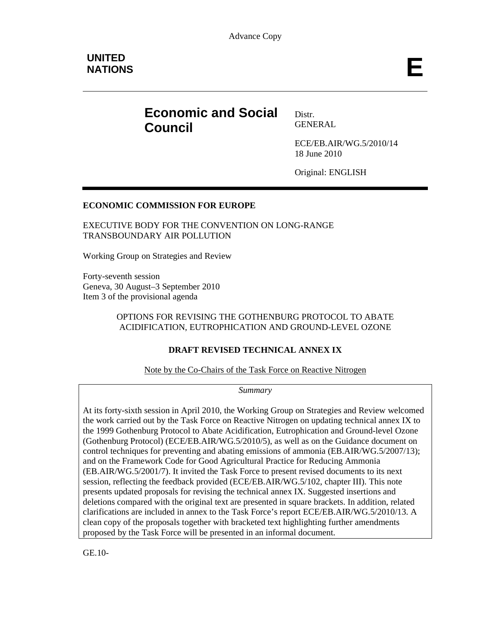# **Economic and Social Council**

Distr. GENERAL

ECE/EB.AIR/WG.5/2010/14 18 June 2010

Original: ENGLISH

#### **ECONOMIC COMMISSION FOR EUROPE**

EXECUTIVE BODY FOR THE CONVENTION ON LONG-RANGE TRANSBOUNDARY AIR POLLUTION

Working Group on Strategies and Review

Forty-seventh session Geneva, 30 August–3 September 2010 Item 3 of the provisional agenda

#### OPTIONS FOR REVISING THE GOTHENBURG PROTOCOL TO ABATE ACIDIFICATION, EUTROPHICATION AND GROUND-LEVEL OZONE

#### **DRAFT REVISED TECHNICAL ANNEX IX**

Note by the Co-Chairs of the Task Force on Reactive Nitrogen

*Summary* 

At its forty-sixth session in April 2010, the Working Group on Strategies and Review welcomed the work carried out by the Task Force on Reactive Nitrogen on updating technical annex IX to the 1999 Gothenburg Protocol to Abate Acidification, Eutrophication and Ground-level Ozone (Gothenburg Protocol) (ECE/EB.AIR/WG.5/2010/5), as well as on the Guidance document on control techniques for preventing and abating emissions of ammonia (EB.AIR/WG.5/2007/13); and on the Framework Code for Good Agricultural Practice for Reducing Ammonia (EB.AIR/WG.5/2001/7). It invited the Task Force to present revised documents to its next session, reflecting the feedback provided (ECE/EB.AIR/WG.5/102, chapter III). This note presents updated proposals for revising the technical annex IX. Suggested insertions and deletions compared with the original text are presented in square brackets. In addition, related clarifications are included in annex to the Task Force's report ECE/EB.AIR/WG.5/2010/13. A clean copy of the proposals together with bracketed text highlighting further amendments proposed by the Task Force will be presented in an informal document.

GE.10-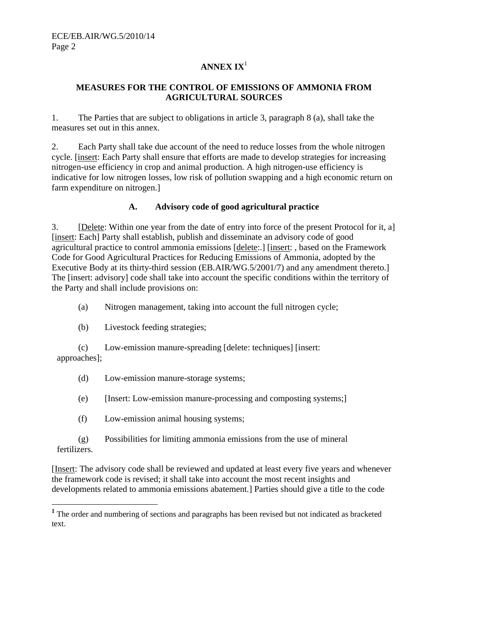## **ANNEX IX**<sup>1</sup>

#### **MEASURES FOR THE CONTROL OF EMISSIONS OF AMMONIA FROM AGRICULTURAL SOURCES**

1. The Parties that are subject to obligations in article 3, paragraph 8 (a), shall take the measures set out in this annex.

2. Each Party shall take due account of the need to reduce losses from the whole nitrogen cycle. [insert: Each Party shall ensure that efforts are made to develop strategies for increasing nitrogen-use efficiency in crop and animal production. A high nitrogen-use efficiency is indicative for low nitrogen losses, low risk of pollution swapping and a high economic return on farm expenditure on nitrogen.]

#### **A. Advisory code of good agricultural practice**

3. [Delete: Within one year from the date of entry into force of the present Protocol for it, a] [insert: Each] Party shall establish, publish and disseminate an advisory code of good agricultural practice to control ammonia emissions [delete:.] [insert: , based on the Framework Code for Good Agricultural Practices for Reducing Emissions of Ammonia, adopted by the Executive Body at its thirty-third session (EB.AIR/WG.5/2001/7) and any amendment thereto.] The [insert: advisory] code shall take into account the specific conditions within the territory of the Party and shall include provisions on:

(a) Nitrogen management, taking into account the full nitrogen cycle;

(b) Livestock feeding strategies;

(c) Low-emission manure-spreading [delete: techniques] [insert: approaches];

- (d) Low-emission manure-storage systems;
- (e) [Insert: Low-emission manure-processing and composting systems;]
- (f) Low-emission animal housing systems;

(g) Possibilities for limiting ammonia emissions from the use of mineral fertilizers.

[Insert: The advisory code shall be reviewed and updated at least every five years and whenever the framework code is revised; it shall take into account the most recent insights and developments related to ammonia emissions abatement.] Parties should give a title to the code

**<sup>1</sup>**<br>**1** The order and numbering of sections and paragraphs has been revised but not indicated as bracketed text.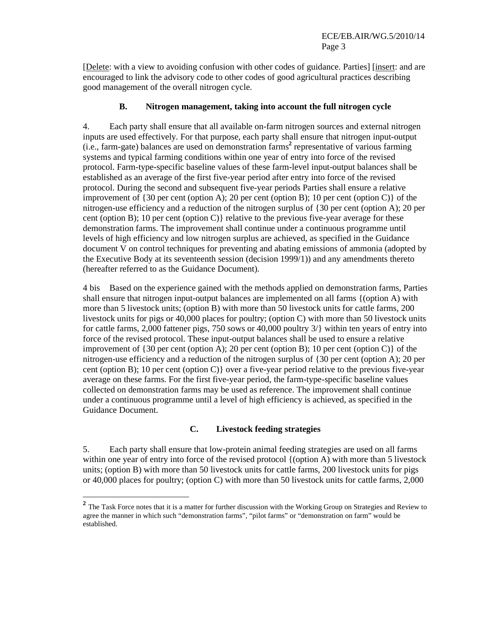[Delete: with a view to avoiding confusion with other codes of guidance. Parties] [insert: and are encouraged to link the advisory code to other codes of good agricultural practices describing good management of the overall nitrogen cycle.

#### **B. Nitrogen management, taking into account the full nitrogen cycle**

4. Each party shall ensure that all available on-farm nitrogen sources and external nitrogen inputs are used effectively. For that purpose, each party shall ensure that nitrogen input-output (i.e., farm-gate) balances are used on demonstration farms<sup>2</sup> representative of various farming systems and typical farming conditions within one year of entry into force of the revised protocol. Farm-type-specific baseline values of these farm-level input-output balances shall be established as an average of the first five-year period after entry into force of the revised protocol. During the second and subsequent five-year periods Parties shall ensure a relative improvement of  $\{30 \text{ per cent (option A)}; 20 \text{ per cent (option B)}; 10 \text{ per cent (option C)}\}$  of the nitrogen-use efficiency and a reduction of the nitrogen surplus of {30 per cent (option A); 20 per cent (option B); 10 per cent (option C) relative to the previous five-year average for these demonstration farms. The improvement shall continue under a continuous programme until levels of high efficiency and low nitrogen surplus are achieved, as specified in the Guidance document V on control techniques for preventing and abating emissions of ammonia (adopted by the Executive Body at its seventeenth session (decision 1999/1)) and any amendments thereto (hereafter referred to as the Guidance Document).

4 bis Based on the experience gained with the methods applied on demonstration farms, Parties shall ensure that nitrogen input-output balances are implemented on all farms {(option A) with more than 5 livestock units; (option B) with more than 50 livestock units for cattle farms, 200 livestock units for pigs or 40,000 places for poultry; (option C) with more than 50 livestock units for cattle farms, 2,000 fattener pigs, 750 sows or 40,000 poultry 3/} within ten years of entry into force of the revised protocol. These input-output balances shall be used to ensure a relative improvement of {30 per cent (option A); 20 per cent (option B); 10 per cent (option C)} of the nitrogen-use efficiency and a reduction of the nitrogen surplus of {30 per cent (option A); 20 per cent (option B); 10 per cent (option C)} over a five-year period relative to the previous five-year average on these farms. For the first five-year period, the farm-type-specific baseline values collected on demonstration farms may be used as reference. The improvement shall continue under a continuous programme until a level of high efficiency is achieved, as specified in the Guidance Document.

#### **C. Livestock feeding strategies**

5. Each party shall ensure that low-protein animal feeding strategies are used on all farms within one year of entry into force of the revised protocol {(option A) with more than 5 livestock units; (option B) with more than 50 livestock units for cattle farms, 200 livestock units for pigs or 40,000 places for poultry; (option C) with more than 50 livestock units for cattle farms, 2,000

<sup>&</sup>lt;sup>2</sup> The Task Force notes that it is a matter for further discussion with the Working Group on Strategies and Review to agree the manner in which such "demonstration farms", "pilot farms" or "demonstration on farm" would be established.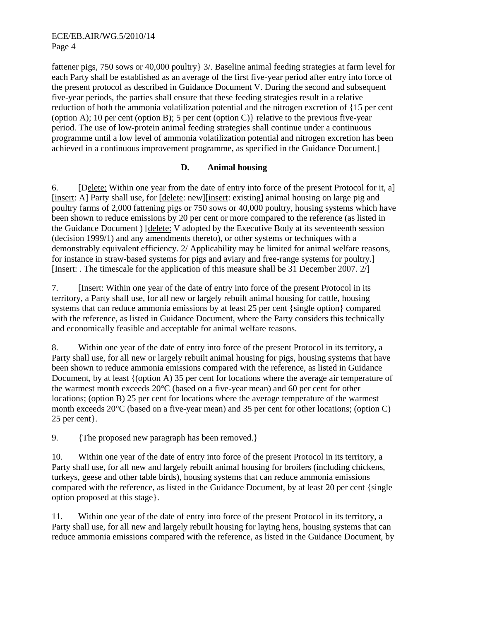fattener pigs, 750 sows or 40,000 poultry} 3/. Baseline animal feeding strategies at farm level for each Party shall be established as an average of the first five-year period after entry into force of the present protocol as described in Guidance Document V. During the second and subsequent five-year periods, the parties shall ensure that these feeding strategies result in a relative reduction of both the ammonia volatilization potential and the nitrogen excretion of {15 per cent (option A); 10 per cent (option B); 5 per cent (option C) relative to the previous five-year period. The use of low-protein animal feeding strategies shall continue under a continuous programme until a low level of ammonia volatilization potential and nitrogen excretion has been achieved in a continuous improvement programme, as specified in the Guidance Document.]

#### **D. Animal housing**

6. [Delete: Within one year from the date of entry into force of the present Protocol for it, a] [insert: A] Party shall use, for [delete: new][insert: existing] animal housing on large pig and poultry farms of 2,000 fattening pigs or 750 sows or 40,000 poultry, housing systems which have been shown to reduce emissions by 20 per cent or more compared to the reference (as listed in the Guidance Document ) [delete: V adopted by the Executive Body at its seventeenth session (decision 1999/1) and any amendments thereto), or other systems or techniques with a demonstrably equivalent efficiency. 2/ Applicability may be limited for animal welfare reasons, for instance in straw-based systems for pigs and aviary and free-range systems for poultry.] [Insert: . The timescale for the application of this measure shall be 31 December 2007. 2/]

7. [Insert: Within one year of the date of entry into force of the present Protocol in its territory, a Party shall use, for all new or largely rebuilt animal housing for cattle, housing systems that can reduce ammonia emissions by at least 25 per cent {single option} compared with the reference, as listed in Guidance Document, where the Party considers this technically and economically feasible and acceptable for animal welfare reasons.

8. Within one year of the date of entry into force of the present Protocol in its territory, a Party shall use, for all new or largely rebuilt animal housing for pigs, housing systems that have been shown to reduce ammonia emissions compared with the reference, as listed in Guidance Document, by at least {(option A) 35 per cent for locations where the average air temperature of the warmest month exceeds 20°C (based on a five-year mean) and 60 per cent for other locations; (option B) 25 per cent for locations where the average temperature of the warmest month exceeds 20°C (based on a five-year mean) and 35 per cent for other locations; (option C) 25 per cent}.

9. {The proposed new paragraph has been removed.}

10. Within one year of the date of entry into force of the present Protocol in its territory, a Party shall use, for all new and largely rebuilt animal housing for broilers (including chickens, turkeys, geese and other table birds), housing systems that can reduce ammonia emissions compared with the reference, as listed in the Guidance Document, by at least 20 per cent {single option proposed at this stage}.

11. Within one year of the date of entry into force of the present Protocol in its territory, a Party shall use, for all new and largely rebuilt housing for laying hens, housing systems that can reduce ammonia emissions compared with the reference, as listed in the Guidance Document, by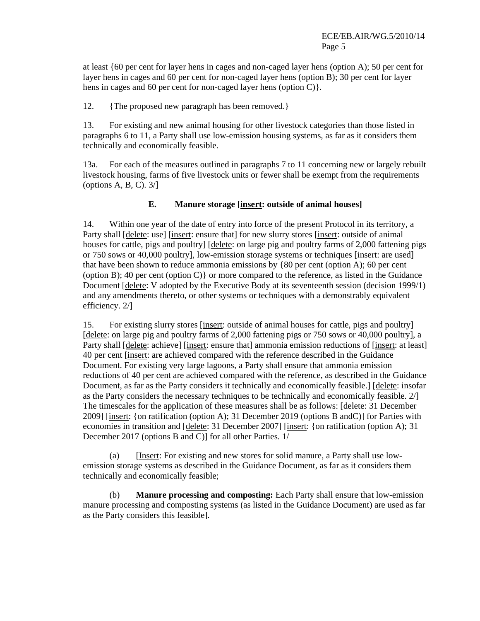at least {60 per cent for layer hens in cages and non-caged layer hens (option A); 50 per cent for layer hens in cages and 60 per cent for non-caged layer hens (option B); 30 per cent for layer hens in cages and 60 per cent for non-caged layer hens (option C).

12. {The proposed new paragraph has been removed.}

13. For existing and new animal housing for other livestock categories than those listed in paragraphs 6 to 11, a Party shall use low-emission housing systems, as far as it considers them technically and economically feasible.

13a. For each of the measures outlined in paragraphs 7 to 11 concerning new or largely rebuilt livestock housing, farms of five livestock units or fewer shall be exempt from the requirements (options A, B, C).  $3/$ ]

### **E. Manure storage [insert: outside of animal houses]**

14. Within one year of the date of entry into force of the present Protocol in its territory, a Party shall [delete: use] [insert: ensure that] for new slurry stores [insert: outside of animal houses for cattle, pigs and poultry] [delete: on large pig and poultry farms of 2,000 fattening pigs or 750 sows or 40,000 poultry], low-emission storage systems or techniques [insert: are used] that have been shown to reduce ammonia emissions by {80 per cent (option A); 60 per cent (option B); 40 per cent (option C) or more compared to the reference, as listed in the Guidance Document [delete: V adopted by the Executive Body at its seventeenth session (decision 1999/1) and any amendments thereto, or other systems or techniques with a demonstrably equivalent efficiency. 2/]

15. For existing slurry stores [insert: outside of animal houses for cattle, pigs and poultry] [delete: on large pig and poultry farms of 2,000 fattening pigs or 750 sows or 40,000 poultry], a Party shall [delete: achieve] [insert: ensure that] ammonia emission reductions of [insert: at least] 40 per cent [insert: are achieved compared with the reference described in the Guidance Document. For existing very large lagoons, a Party shall ensure that ammonia emission reductions of 40 per cent are achieved compared with the reference, as described in the Guidance Document, as far as the Party considers it technically and economically feasible.] [delete: insofar as the Party considers the necessary techniques to be technically and economically feasible. 2/] The timescales for the application of these measures shall be as follows: [delete: 31 December 2009] [insert: {on ratification (option A); 31 December 2019 (options B andC)] for Parties with economies in transition and [delete: 31 December 2007] [insert: {on ratification (option A); 31 December 2017 (options B and C)] for all other Parties. 1/

(a) [Insert: For existing and new stores for solid manure, a Party shall use lowemission storage systems as described in the Guidance Document, as far as it considers them technically and economically feasible;

(b) **Manure processing and composting:** Each Party shall ensure that low-emission manure processing and composting systems (as listed in the Guidance Document) are used as far as the Party considers this feasible].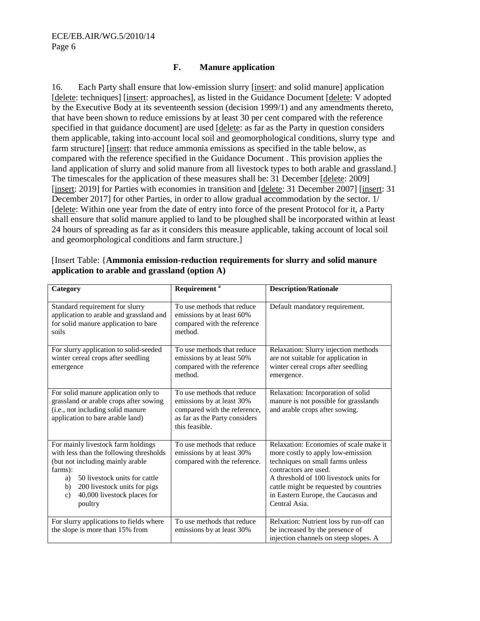#### **F. Manure application**

16. Each Party shall ensure that low-emission slurry [insert: and solid manure] application [delete: techniques] [insert: approaches], as listed in the Guidance Document [delete: V adopted by the Executive Body at its seventeenth session (decision 1999/1) and any amendments thereto, that have been shown to reduce emissions by at least 30 per cent compared with the reference specified in that guidance document] are used [delete: as far as the Party in question considers them applicable, taking into account local soil and geomorphological conditions, slurry type and farm structure] [insert: that reduce ammonia emissions as specified in the table below, as compared with the reference specified in the Guidance Document . This provision applies the land application of slurry and solid manure from all livestock types to both arable and grassland.] The timescales for the application of these measures shall be: 31 December [delete: 2009] [insert: 2019] for Parties with economies in transition and [delete: 31 December 2007] [insert: 31 December 2017] for other Parties, in order to allow gradual accommodation by the sector. 1/ [delete: Within one year from the date of entry into force of the present Protocol for it, a Party shall ensure that solid manure applied to land to be ploughed shall be incorporated within at least 24 hours of spreading as far as it considers this measure applicable, taking account of local soil and geomorphological conditions and farm structure.]

| Category                                                                                                                                                                                                                                                  | Requirement <sup>a</sup>                                                                                                                   | <b>Description/Rationale</b>                                                                                                                                                                                                                                                         |
|-----------------------------------------------------------------------------------------------------------------------------------------------------------------------------------------------------------------------------------------------------------|--------------------------------------------------------------------------------------------------------------------------------------------|--------------------------------------------------------------------------------------------------------------------------------------------------------------------------------------------------------------------------------------------------------------------------------------|
| Standard requirement for slurry<br>application to arable and grassland and<br>for solid manure application to bare<br>soils                                                                                                                               | To use methods that reduce<br>emissions by at least 60%<br>compared with the reference<br>method.                                          | Default mandatory requirement.                                                                                                                                                                                                                                                       |
| For slurry application to solid-seeded<br>winter cereal crops after seedling<br>emergence                                                                                                                                                                 | To use methods that reduce<br>emissions by at least 50%<br>compared with the reference<br>method.                                          | Relaxation: Slurry injection methods<br>are not suitable for application in<br>winter cereal crops after seedling<br>emergence.                                                                                                                                                      |
| For solid manure application only to<br>grassland or arable crops after sowing<br>(i.e., not including solid manure<br>application to bare arable land)                                                                                                   | To use methods that reduce<br>emissions by at least 30%<br>compared with the reference,<br>as far as the Party considers<br>this feasible. | Relaxation: Incorporation of solid<br>manure is not possible for grasslands<br>and arable crops after sowing.                                                                                                                                                                        |
| For mainly livestock farm holdings<br>with less than the following thresholds<br>(but not including mainly arable<br>farms):<br>50 livestock units for cattle<br>a)<br>200 livestock units for pigs<br>b)<br>40,000 livestock places for<br>c)<br>poultry | To use methods that reduce<br>emissions by at least 30%<br>compared with the reference.                                                    | Relaxation: Economies of scale make it<br>more costly to apply low-emission<br>techniques on small farms unless<br>contractors are used.<br>A threshold of 100 livestock units for<br>cattle might be requested by countries<br>in Eastern Europe, the Caucasus and<br>Central Asia. |
| For slurry applications to fields where<br>the slope is more than 15% from                                                                                                                                                                                | To use methods that reduce<br>emissions by at least 30%                                                                                    | Relxation: Nutrient loss by run-off can<br>be increased by the presence of<br>injection channels on steep slopes. A                                                                                                                                                                  |

| [Insert Table: {Ammonia emission-reduction requirements for slurry and solid manure |  |
|-------------------------------------------------------------------------------------|--|
| application to arable and grassland (option A)                                      |  |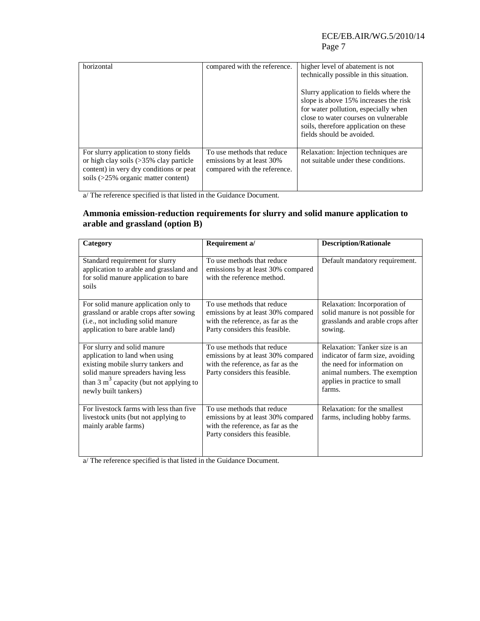#### ECE/EB.AIR/WG.5/2010/14 Page 7

| horizontal                                                                                                                                                                      | compared with the reference.                                                            | higher level of abatement is not<br>technically possible in this situation.<br>Slurry application to fields where the<br>slope is above 15% increases the risk<br>for water pollution, especially when<br>close to water courses on vulnerable<br>soils, therefore application on these<br>fields should be avoided. |
|---------------------------------------------------------------------------------------------------------------------------------------------------------------------------------|-----------------------------------------------------------------------------------------|----------------------------------------------------------------------------------------------------------------------------------------------------------------------------------------------------------------------------------------------------------------------------------------------------------------------|
| For slurry application to stony fields<br>or high clay soils $(>\!\!35\!\%$ clay particle<br>content) in very dry conditions or peat<br>soils $(>=25\%$ organic matter content) | To use methods that reduce<br>emissions by at least 30%<br>compared with the reference. | Relaxation: Injection techniques are<br>not suitable under these conditions.                                                                                                                                                                                                                                         |

a/ The reference specified is that listed in the Guidance Document.

#### **Ammonia emission-reduction requirements for slurry and solid manure application to arable and grassland (option B)**

| Category                                                                                                                                                                                                       | Requirement a/                                                                                                                          | <b>Description/Rationale</b>                                                                                                                                                |
|----------------------------------------------------------------------------------------------------------------------------------------------------------------------------------------------------------------|-----------------------------------------------------------------------------------------------------------------------------------------|-----------------------------------------------------------------------------------------------------------------------------------------------------------------------------|
| Standard requirement for slurry<br>application to arable and grassland and<br>for solid manure application to bare<br>soils                                                                                    | To use methods that reduce<br>emissions by at least 30% compared<br>with the reference method.                                          | Default mandatory requirement.                                                                                                                                              |
| For solid manure application only to<br>grassland or arable crops after sowing<br>(i.e., not including solid manure<br>application to bare arable land)                                                        | To use methods that reduce<br>emissions by at least 30% compared<br>with the reference, as far as the<br>Party considers this feasible. | Relaxation: Incorporation of<br>solid manure is not possible for<br>grasslands and arable crops after<br>sowing.                                                            |
| For slurry and solid manure<br>application to land when using<br>existing mobile slurry tankers and<br>solid manure spreaders having less<br>than 3 $m3$ capacity (but not applying to<br>newly built tankers) | To use methods that reduce<br>emissions by at least 30% compared<br>with the reference, as far as the<br>Party considers this feasible. | Relaxation: Tanker size is an<br>indicator of farm size, avoiding<br>the need for information on<br>animal numbers. The exemption<br>applies in practice to small<br>farms. |
| For livestock farms with less than five<br>livestock units (but not applying to<br>mainly arable farms)                                                                                                        | To use methods that reduce<br>emissions by at least 30% compared<br>with the reference, as far as the<br>Party considers this feasible. | Relaxation: for the smallest<br>farms, including hobby farms.                                                                                                               |

a/ The reference specified is that listed in the Guidance Document.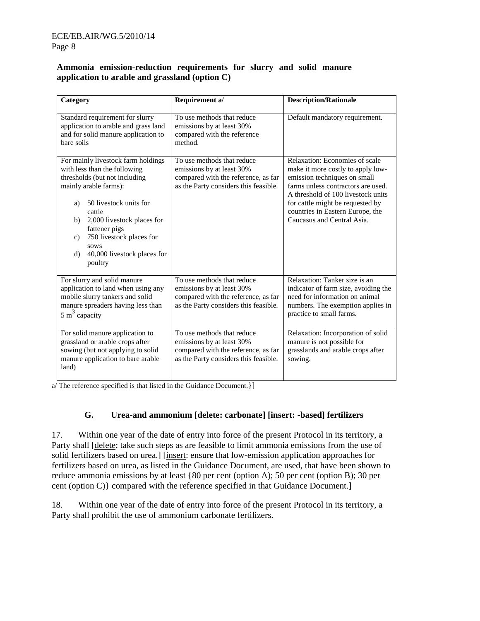#### **Ammonia emission-reduction requirements for slurry and solid manure application to arable and grassland (option C)**

| Category                                                                                                                                                                                                                                                                                                              | Requirement a/                                                                                                                          | <b>Description/Rationale</b>                                                                                                                                                                                                                                                          |
|-----------------------------------------------------------------------------------------------------------------------------------------------------------------------------------------------------------------------------------------------------------------------------------------------------------------------|-----------------------------------------------------------------------------------------------------------------------------------------|---------------------------------------------------------------------------------------------------------------------------------------------------------------------------------------------------------------------------------------------------------------------------------------|
| Standard requirement for slurry<br>application to arable and grass land<br>and for solid manure application to<br>bare soils                                                                                                                                                                                          | To use methods that reduce<br>emissions by at least 30%<br>compared with the reference<br>method.                                       | Default mandatory requirement.                                                                                                                                                                                                                                                        |
| For mainly livestock farm holdings<br>with less than the following<br>thresholds (but not including<br>mainly arable farms):<br>50 livestock units for<br>a)<br>cattle<br>2,000 livestock places for<br>b)<br>fattener pigs<br>750 livestock places for<br>c)<br>sows<br>40,000 livestock places for<br>d)<br>poultry | To use methods that reduce<br>emissions by at least 30%<br>compared with the reference, as far<br>as the Party considers this feasible. | Relaxation: Economies of scale<br>make it more costly to apply low-<br>emission techniques on small<br>farms unless contractors are used.<br>A threshold of 100 livestock units<br>for cattle might be requested by<br>countries in Eastern Europe, the<br>Caucasus and Central Asia. |
| For slurry and solid manure<br>application to land when using any<br>mobile slurry tankers and solid<br>manure spreaders having less than<br>5 m <sup>3</sup> capacity                                                                                                                                                | To use methods that reduce<br>emissions by at least 30%<br>compared with the reference, as far<br>as the Party considers this feasible. | Relaxation: Tanker size is an<br>indicator of farm size, avoiding the<br>need for information on animal<br>numbers. The exemption applies in<br>practice to small farms.                                                                                                              |
| For solid manure application to<br>grassland or arable crops after<br>sowing (but not applying to solid<br>manure application to bare arable<br>land)                                                                                                                                                                 | To use methods that reduce<br>emissions by at least 30%<br>compared with the reference, as far<br>as the Party considers this feasible. | Relaxation: Incorporation of solid<br>manure is not possible for<br>grasslands and arable crops after<br>sowing.                                                                                                                                                                      |

a/ The reference specified is that listed in the Guidance Document.}]

#### **G. Urea-and ammonium [delete: carbonate] [insert: -based] fertilizers**

17. Within one year of the date of entry into force of the present Protocol in its territory, a Party shall [delete: take such steps as are feasible to limit ammonia emissions from the use of solid fertilizers based on urea.] [insert: ensure that low-emission application approaches for fertilizers based on urea, as listed in the Guidance Document, are used, that have been shown to reduce ammonia emissions by at least {80 per cent (option A); 50 per cent (option B); 30 per cent (option C)} compared with the reference specified in that Guidance Document.]

18. Within one year of the date of entry into force of the present Protocol in its territory, a Party shall prohibit the use of ammonium carbonate fertilizers.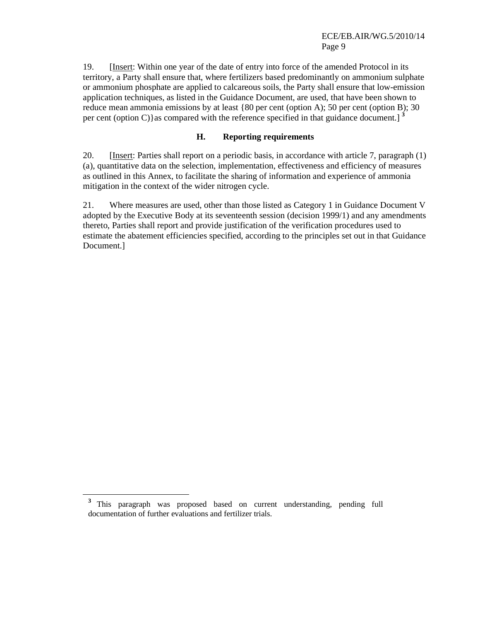19. [Insert: Within one year of the date of entry into force of the amended Protocol in its territory, a Party shall ensure that, where fertilizers based predominantly on ammonium sulphate or ammonium phosphate are applied to calcareous soils, the Party shall ensure that low-emission application techniques, as listed in the Guidance Document, are used, that have been shown to reduce mean ammonia emissions by at least {80 per cent (option A); 50 per cent (option B); 30 per cent (option C)}as compared with the reference specified in that guidance document.<sup>3</sup>

#### **H. Reporting requirements**

20. [Insert: Parties shall report on a periodic basis, in accordance with article 7, paragraph (1) (a), quantitative data on the selection, implementation, effectiveness and efficiency of measures as outlined in this Annex, to facilitate the sharing of information and experience of ammonia mitigation in the context of the wider nitrogen cycle.

21. Where measures are used, other than those listed as Category 1 in Guidance Document V adopted by the Executive Body at its seventeenth session (decision 1999/1) and any amendments thereto, Parties shall report and provide justification of the verification procedures used to estimate the abatement efficiencies specified, according to the principles set out in that Guidance Document.]

 $\overline{a}$ 

**<sup>3</sup>** This paragraph was proposed based on current understanding, pending full documentation of further evaluations and fertilizer trials.